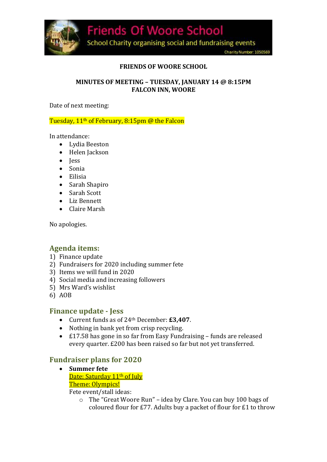

#### **FRIENDS OF WOORE SCHOOL**

#### **MINUTES OF MEETING – TUESDAY, JANUARY 14 @ 8:15PM FALCON INN, WOORE**

Date of next meeting:

#### Tuesday, 11th of February, 8:15pm @ the Falcon

In attendance:

- Lydia Beeston
- Helen Jackson
- **Jess**
- Sonia
- Eilisia
- Sarah Shapiro
- Sarah Scott
- Liz Bennett
- Claire Marsh

No apologies.

# **Agenda items:**

- 1) Finance update
- 2) Fundraisers for 2020 including summer fete
- 3) Items we will fund in 2020
- 4) Social media and increasing followers
- 5) Mrs Ward's wishlist
- 6) AOB

# **Finance update - Jess**

- Current funds as of 24th December: **£3,407**.
- Nothing in bank yet from crisp recycling.
- £17.58 has gone in so far from Easy Fundraising funds are released every quarter. £200 has been raised so far but not yet transferred.

# **Fundraiser plans for 2020**

 **Summer fete** Date: Saturday 11<sup>th</sup> of July Theme: Olympics!

Fete event/stall ideas:

o The "Great Woore Run" – idea by Clare. You can buy 100 bags of coloured flour for £77. Adults buy a packet of flour for £1 to throw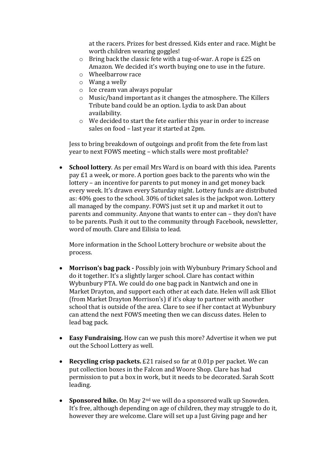at the racers. Prizes for best dressed. Kids enter and race. Might be worth children wearing goggles!

- o Bring back the classic fete with a tug-of-war. A rope is £25 on Amazon. We decided it's worth buying one to use in the future.
- o Wheelbarrow race
- o Wang a welly
- o Ice cream van always popular
- o Music/band important as it changes the atmosphere. The Killers Tribute band could be an option. Lydia to ask Dan about availability.
- o We decided to start the fete earlier this year in order to increase sales on food – last year it started at 2pm.

Jess to bring breakdown of outgoings and profit from the fete from last year to next FOWS meeting – which stalls were most profitable?

 **School lottery**. As per email Mrs Ward is on board with this idea. Parents pay £1 a week, or more. A portion goes back to the parents who win the lottery – an incentive for parents to put money in and get money back every week. It's drawn every Saturday night. Lottery funds are distributed as: 40% goes to the school. 30% of ticket sales is the jackpot won. Lottery all managed by the company. FOWS just set it up and market it out to parents and community. Anyone that wants to enter can – they don't have to be parents. Push it out to the community through Facebook, newsletter, word of mouth. Clare and Eilisia to lead.

More information in the School Lottery brochure or website about the process.

- **Morrison's bag pack -** Possibly join with Wybunbury Primary School and do it together. It's a slightly larger school. Clare has contact within Wybunbury PTA. We could do one bag pack in Nantwich and one in Market Drayton, and support each other at each date. Helen will ask Elliot (from Market Drayton Morrison's) if it's okay to partner with another school that is outside of the area. Clare to see if her contact at Wybunbury can attend the next FOWS meeting then we can discuss dates. Helen to lead bag pack.
- **Easy Fundraising.** How can we push this more? Advertise it when we put out the School Lottery as well.
- **Recycling crisp packets.** £21 raised so far at 0.01p per packet. We can put collection boxes in the Falcon and Woore Shop. Clare has had permission to put a box in work, but it needs to be decorated. Sarah Scott leading.
- **Sponsored hike.** On May 2<sup>nd</sup> we will do a sponsored walk up Snowden. It's free, although depending on age of children, they may struggle to do it, however they are welcome. Clare will set up a Just Giving page and her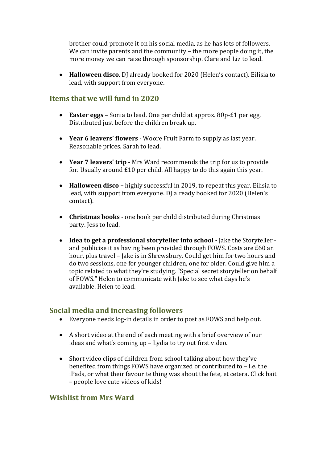brother could promote it on his social media, as he has lots of followers. We can invite parents and the community – the more people doing it, the more money we can raise through sponsorship. Clare and Liz to lead.

 **Halloween disco**. DJ already booked for 2020 (Helen's contact). Eilisia to lead, with support from everyone.

# **Items that we will fund in 2020**

- **Easter eggs –** Sonia to lead. One per child at approx. 80p-£1 per egg. Distributed just before the children break up.
- **Year 6 leavers' flowers** Woore Fruit Farm to supply as last year. Reasonable prices. Sarah to lead.
- **Year 7 leavers' trip** Mrs Ward recommends the trip for us to provide for. Usually around £10 per child. All happy to do this again this year.
- **Halloween disco –** highly successful in 2019, to repeat this year. Eilisia to lead, with support from everyone. DJ already booked for 2020 (Helen's contact).
- **Christmas books -** one book per child distributed during Christmas party. Jess to lead.
- **Idea to get a professional storyteller into school -** Jake the Storyteller and publicise it as having been provided through FOWS. Costs are £60 an hour, plus travel – Jake is in Shrewsbury. Could get him for two hours and do two sessions, one for younger children, one for older. Could give him a topic related to what they're studying. "Special secret storyteller on behalf of FOWS." Helen to communicate with Jake to see what days he's available. Helen to lead.

# **Social media and increasing followers**

- Everyone needs log-in details in order to post as FOWS and help out.
- A short video at the end of each meeting with a brief overview of our ideas and what's coming up – Lydia to try out first video.
- Short video clips of children from school talking about how they've benefited from things FOWS have organized or contributed to – i.e. the iPads, or what their favourite thing was about the fete, et cetera. Click bait – people love cute videos of kids!

# **Wishlist from Mrs Ward**